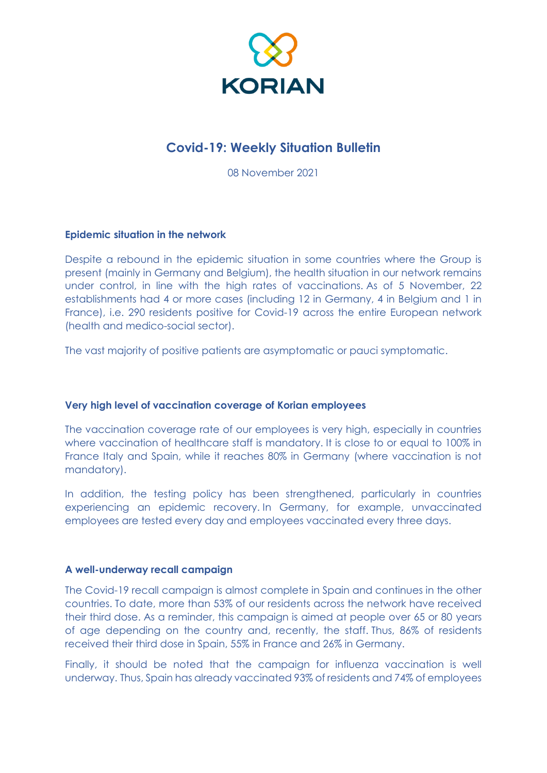

# **Covid-19: Weekly Situation Bulletin**

08 November 2021

## **Epidemic situation in the network**

Despite a rebound in the epidemic situation in some countries where the Group is present (mainly in Germany and Belgium), the health situation in our network remains under control, in line with the high rates of vaccinations. As of 5 November, 22 establishments had 4 or more cases (including 12 in Germany, 4 in Belgium and 1 in France), i.e. 290 residents positive for Covid-19 across the entire European network (health and medico-social sector).

The vast majority of positive patients are asymptomatic or pauci symptomatic.

### **Very high level of vaccination coverage of Korian employees**

The vaccination coverage rate of our employees is very high, especially in countries where vaccination of healthcare staff is mandatory. It is close to or equal to 100% in France Italy and Spain, while it reaches 80% in Germany (where vaccination is not mandatory).

In addition, the testing policy has been strengthened, particularly in countries experiencing an epidemic recovery. In Germany, for example, unvaccinated employees are tested every day and employees vaccinated every three days.

## **A well-underway recall campaign**

The Covid-19 recall campaign is almost complete in Spain and continues in the other countries. To date, more than 53% of our residents across the network have received their third dose. As a reminder, this campaign is aimed at people over 65 or 80 years of age depending on the country and, recently, the staff. Thus, 86% of residents received their third dose in Spain, 55% in France and 26% in Germany.

Finally, it should be noted that the campaign for influenza vaccination is well underway. Thus, Spain has already vaccinated 93% of residents and 74% of employees